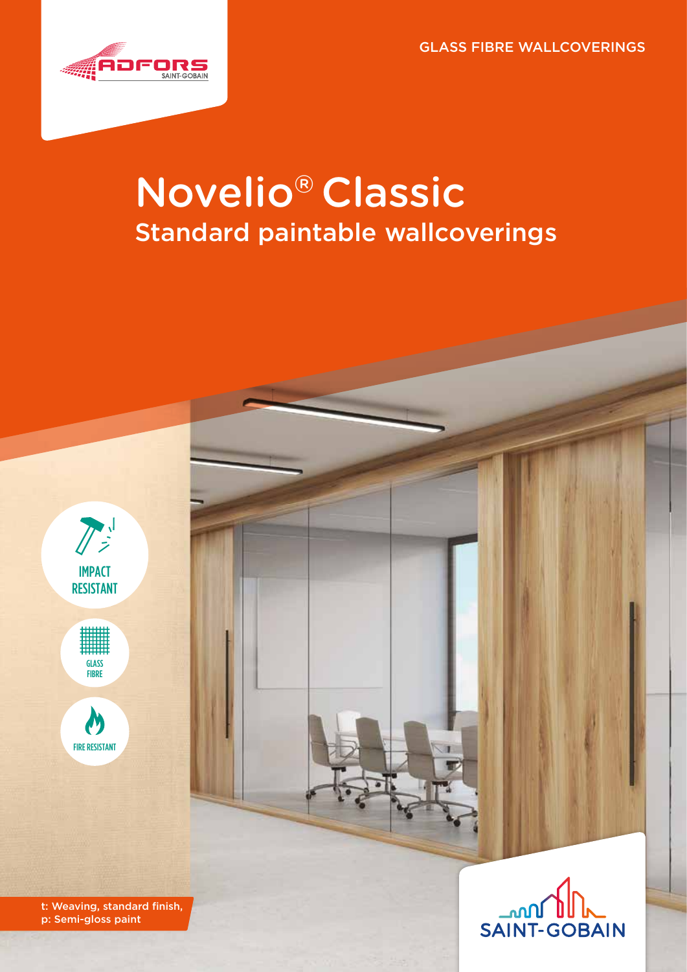GLASS FIBRE WALLCOVERINGS



# Novelio® Classic Standard paintable wallcoverings





 $\boldsymbol{N}$ FIRE RESISTANT

t: Weaving, standard finish, p: Semi-gloss paint